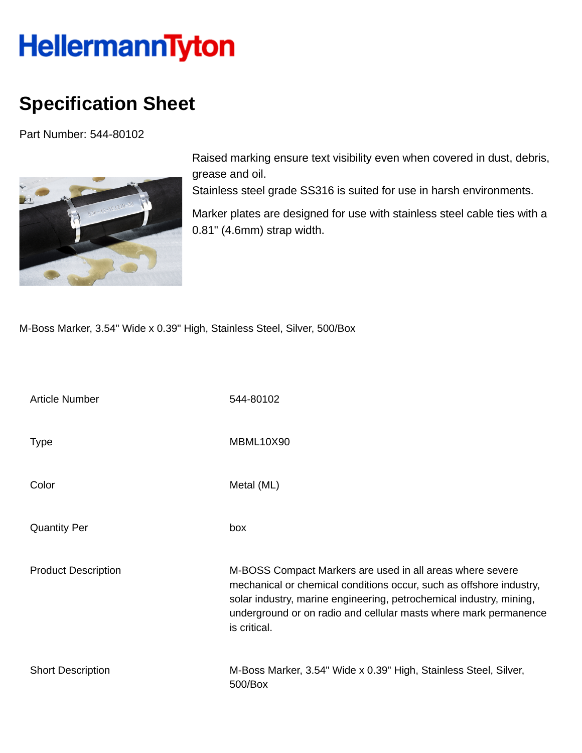## HellermannTyton

## **Specification Sheet**

Part Number: 544-80102



Raised marking ensure text visibility even when covered in dust, debris, grease and oil.

Stainless steel grade SS316 is suited for use in harsh environments.

Marker plates are designed for use with stainless steel cable ties with a 0.81" (4.6mm) strap width.

M-Boss Marker, 3.54" Wide x 0.39" High, Stainless Steel, Silver, 500/Box

| <b>Article Number</b>      | 544-80102                                                                                                                                                                                                                                                                                   |
|----------------------------|---------------------------------------------------------------------------------------------------------------------------------------------------------------------------------------------------------------------------------------------------------------------------------------------|
| <b>Type</b>                | MBML10X90                                                                                                                                                                                                                                                                                   |
| Color                      | Metal (ML)                                                                                                                                                                                                                                                                                  |
| <b>Quantity Per</b>        | box                                                                                                                                                                                                                                                                                         |
| <b>Product Description</b> | M-BOSS Compact Markers are used in all areas where severe<br>mechanical or chemical conditions occur, such as offshore industry,<br>solar industry, marine engineering, petrochemical industry, mining,<br>underground or on radio and cellular masts where mark permanence<br>is critical. |
| <b>Short Description</b>   | M-Boss Marker, 3.54" Wide x 0.39" High, Stainless Steel, Silver,<br>500/Box                                                                                                                                                                                                                 |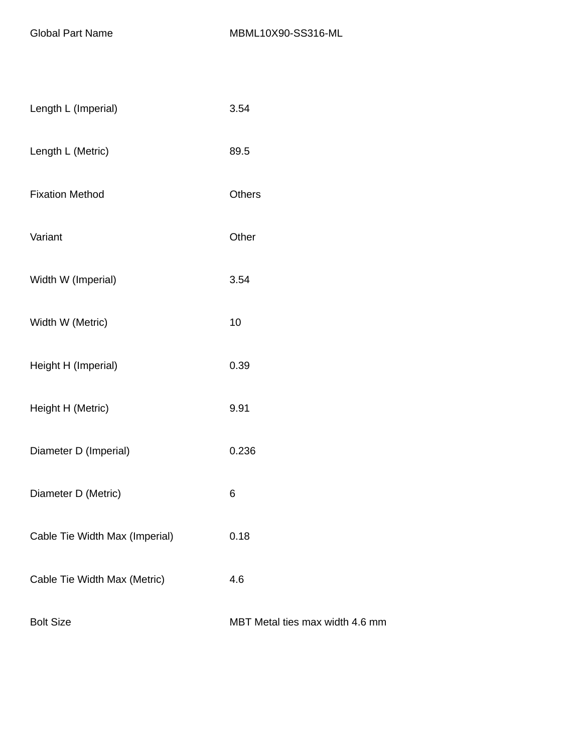| Length L (Imperial)            | 3.54                            |
|--------------------------------|---------------------------------|
| Length L (Metric)              | 89.5                            |
| <b>Fixation Method</b>         | <b>Others</b>                   |
| Variant                        | Other                           |
| Width W (Imperial)             | 3.54                            |
| Width W (Metric)               | 10                              |
| Height H (Imperial)            | 0.39                            |
| Height H (Metric)              | 9.91                            |
| Diameter D (Imperial)          | 0.236                           |
| Diameter D (Metric)            | 6                               |
| Cable Tie Width Max (Imperial) | 0.18                            |
| Cable Tie Width Max (Metric)   | 4.6                             |
| <b>Bolt Size</b>               | MBT Metal ties max width 4.6 mm |